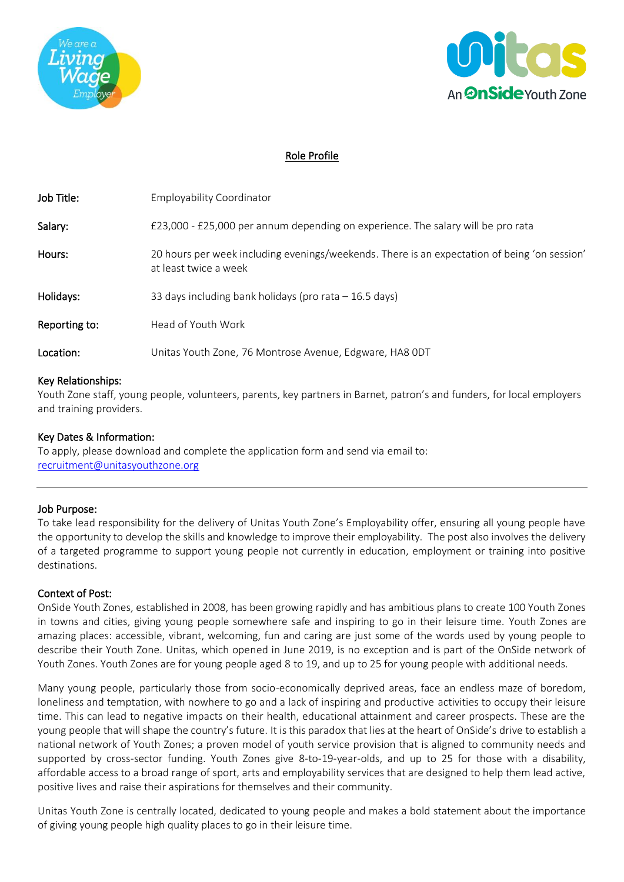



## Role Profile

| Job Title:         | <b>Employability Coordinator</b>                                                                                      |
|--------------------|-----------------------------------------------------------------------------------------------------------------------|
| Salary:            | £23,000 - £25,000 per annum depending on experience. The salary will be pro rata                                      |
| Hours:             | 20 hours per week including evenings/weekends. There is an expectation of being 'on session'<br>at least twice a week |
| Holidays:          | 33 days including bank holidays (pro rata $-16.5$ days)                                                               |
| Reporting to:      | Head of Youth Work                                                                                                    |
| Location:          | Unitas Youth Zone, 76 Montrose Avenue, Edgware, HA8 ODT                                                               |
| Key Relationships: |                                                                                                                       |

Youth Zone staff, young people, volunteers, parents, key partners in Barnet, patron's and funders, for local employers and training providers.

## Key Dates & Information:

To apply, please download and complete the application form and send via email to: [recruitment@unitasyouthzone.org](mailto:recruitment@unitasyouthzone.org)

#### Job Purpose:

To take lead responsibility for the delivery of Unitas Youth Zone's Employability offer, ensuring all young people have the opportunity to develop the skills and knowledge to improve their employability. The post also involves the delivery of a targeted programme to support young people not currently in education, employment or training into positive destinations.

#### Context of Post:

OnSide Youth Zones, established in 2008, has been growing rapidly and has ambitious plans to create 100 Youth Zones in towns and cities, giving young people somewhere safe and inspiring to go in their leisure time. Youth Zones are amazing places: accessible, vibrant, welcoming, fun and caring are just some of the words used by young people to describe their Youth Zone. Unitas, which opened in June 2019, is no exception and is part of the OnSide network of Youth Zones. Youth Zones are for young people aged 8 to 19, and up to 25 for young people with additional needs.

Many young people, particularly those from socio-economically deprived areas, face an endless maze of boredom, loneliness and temptation, with nowhere to go and a lack of inspiring and productive activities to occupy their leisure time. This can lead to negative impacts on their health, educational attainment and career prospects. These are the young people that will shape the country's future. It is this paradox that lies at the heart of OnSide's drive to establish a national network of Youth Zones; a proven model of youth service provision that is aligned to community needs and supported by cross-sector funding. Youth Zones give 8-to-19-year-olds, and up to 25 for those with a disability, affordable access to a broad range of sport, arts and employability services that are designed to help them lead active, positive lives and raise their aspirations for themselves and their community.

Unitas Youth Zone is centrally located, dedicated to young people and makes a bold statement about the importance of giving young people high quality places to go in their leisure time.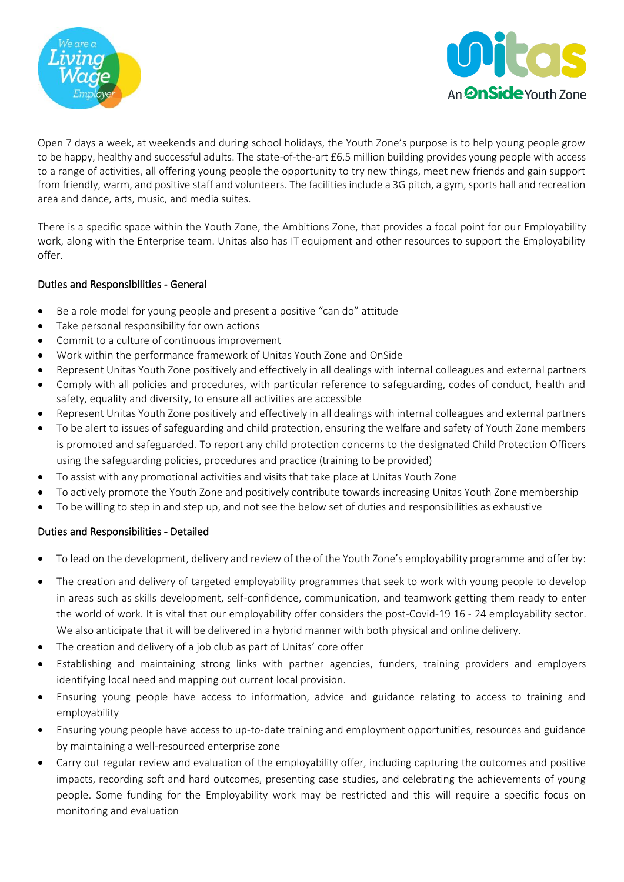



Open 7 days a week, at weekends and during school holidays, the Youth Zone's purpose is to help young people grow to be happy, healthy and successful adults. The state-of-the-art £6.5 million building provides young people with access to a range of activities, all offering young people the opportunity to try new things, meet new friends and gain support from friendly, warm, and positive staff and volunteers. The facilities include a 3G pitch, a gym, sports hall and recreation area and dance, arts, music, and media suites.

There is a specific space within the Youth Zone, the Ambitions Zone, that provides a focal point for our Employability work, along with the Enterprise team. Unitas also has IT equipment and other resources to support the Employability offer.

## Duties and Responsibilities - General

- Be a role model for young people and present a positive "can do" attitude
- Take personal responsibility for own actions
- Commit to a culture of continuous improvement
- Work within the performance framework of Unitas Youth Zone and OnSide
- Represent Unitas Youth Zone positively and effectively in all dealings with internal colleagues and external partners
- Comply with all policies and procedures, with particular reference to safeguarding, codes of conduct, health and safety, equality and diversity, to ensure all activities are accessible
- Represent Unitas Youth Zone positively and effectively in all dealings with internal colleagues and external partners
- To be alert to issues of safeguarding and child protection, ensuring the welfare and safety of Youth Zone members is promoted and safeguarded. To report any child protection concerns to the designated Child Protection Officers using the safeguarding policies, procedures and practice (training to be provided)
- To assist with any promotional activities and visits that take place at Unitas Youth Zone
- To actively promote the Youth Zone and positively contribute towards increasing Unitas Youth Zone membership
- To be willing to step in and step up, and not see the below set of duties and responsibilities as exhaustive

## Duties and Responsibilities - Detailed

- To lead on the development, delivery and review of the of the Youth Zone's employability programme and offer by:
- The creation and delivery of targeted employability programmes that seek to work with young people to develop in areas such as skills development, self-confidence, communication, and teamwork getting them ready to enter the world of work. It is vital that our employability offer considers the post-Covid-19 16 - 24 employability sector. We also anticipate that it will be delivered in a hybrid manner with both physical and online delivery.
- The creation and delivery of a job club as part of Unitas' core offer
- Establishing and maintaining strong links with partner agencies, funders, training providers and employers identifying local need and mapping out current local provision.
- Ensuring young people have access to information, advice and guidance relating to access to training and employability
- Ensuring young people have access to up-to-date training and employment opportunities, resources and guidance by maintaining a well-resourced enterprise zone
- Carry out regular review and evaluation of the employability offer, including capturing the outcomes and positive impacts, recording soft and hard outcomes, presenting case studies, and celebrating the achievements of young people. Some funding for the Employability work may be restricted and this will require a specific focus on monitoring and evaluation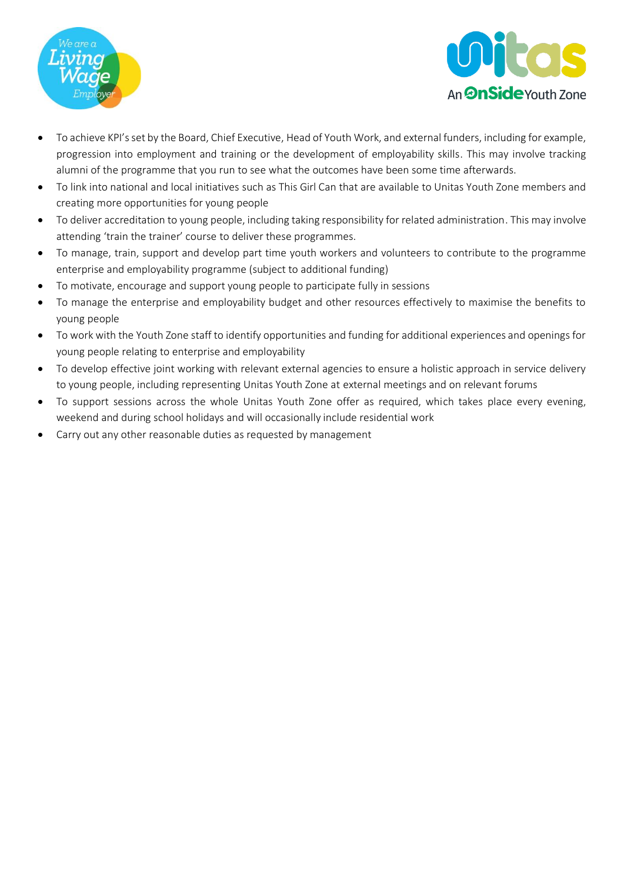



- To achieve KPI's set by the Board, Chief Executive, Head of Youth Work, and external funders, including for example, progression into employment and training or the development of employability skills. This may involve tracking alumni of the programme that you run to see what the outcomes have been some time afterwards.
- To link into national and local initiatives such as This Girl Can that are available to Unitas Youth Zone members and creating more opportunities for young people
- To deliver accreditation to young people, including taking responsibility for related administration. This may involve attending 'train the trainer' course to deliver these programmes.
- To manage, train, support and develop part time youth workers and volunteers to contribute to the programme enterprise and employability programme (subject to additional funding)
- To motivate, encourage and support young people to participate fully in sessions
- To manage the enterprise and employability budget and other resources effectively to maximise the benefits to young people
- To work with the Youth Zone staff to identify opportunities and funding for additional experiences and openings for young people relating to enterprise and employability
- To develop effective joint working with relevant external agencies to ensure a holistic approach in service delivery to young people, including representing Unitas Youth Zone at external meetings and on relevant forums
- To support sessions across the whole Unitas Youth Zone offer as required, which takes place every evening, weekend and during school holidays and will occasionally include residential work
- Carry out any other reasonable duties as requested by management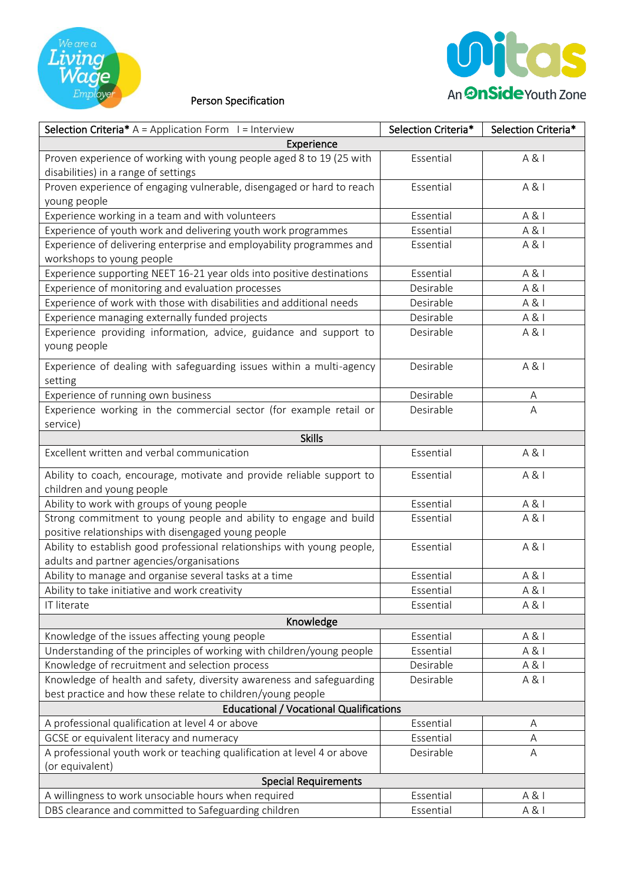



# Person Specification

| <b>Selection Criteria*</b> $A =$ Application Form $I =$ Interview                                                        | Selection Criteria* | Selection Criteria* |  |  |
|--------------------------------------------------------------------------------------------------------------------------|---------------------|---------------------|--|--|
| Experience                                                                                                               |                     |                     |  |  |
| Proven experience of working with young people aged 8 to 19 (25 with<br>disabilities) in a range of settings             | Essential           | A &                 |  |  |
| Proven experience of engaging vulnerable, disengaged or hard to reach<br>young people                                    | Essential           | A &                 |  |  |
| Experience working in a team and with volunteers                                                                         | Essential           | A &                 |  |  |
| Experience of youth work and delivering youth work programmes                                                            | Essential           | A &                 |  |  |
| Experience of delivering enterprise and employability programmes and<br>workshops to young people                        | Essential           | A &                 |  |  |
| Experience supporting NEET 16-21 year olds into positive destinations                                                    | Essential           | A &                 |  |  |
| Experience of monitoring and evaluation processes                                                                        | Desirable           | A &                 |  |  |
| Experience of work with those with disabilities and additional needs                                                     | Desirable           | A &                 |  |  |
| Experience managing externally funded projects                                                                           | Desirable           | A &                 |  |  |
| Experience providing information, advice, guidance and support to<br>young people                                        | Desirable           | A &                 |  |  |
| Experience of dealing with safeguarding issues within a multi-agency<br>setting                                          | Desirable           | A &                 |  |  |
| Experience of running own business                                                                                       | Desirable           | A                   |  |  |
| Experience working in the commercial sector (for example retail or<br>service)                                           | Desirable           | A                   |  |  |
| <b>Skills</b>                                                                                                            |                     |                     |  |  |
| Excellent written and verbal communication                                                                               | Essential           | A &                 |  |  |
| Ability to coach, encourage, motivate and provide reliable support to<br>children and young people                       | Essential           | A &                 |  |  |
| Ability to work with groups of young people                                                                              | Essential           | A &                 |  |  |
| Strong commitment to young people and ability to engage and build<br>positive relationships with disengaged young people | Essential           | A &                 |  |  |
| Ability to establish good professional relationships with young people,<br>adults and partner agencies/organisations     | Essential           | A &                 |  |  |
| Ability to manage and organise several tasks at a time                                                                   | Essential           | A &                 |  |  |
| Ability to take initiative and work creativity                                                                           | Essential           | A & I               |  |  |
| IT literate                                                                                                              | Essential           | A &                 |  |  |
| Knowledge                                                                                                                |                     |                     |  |  |
| Knowledge of the issues affecting young people                                                                           | Essential           | A &                 |  |  |
| Understanding of the principles of working with children/young people                                                    | Essential           | A &                 |  |  |
| Knowledge of recruitment and selection process                                                                           | Desirable           | A &                 |  |  |
| Knowledge of health and safety, diversity awareness and safeguarding                                                     | Desirable           | A &                 |  |  |
| best practice and how these relate to children/young people                                                              |                     |                     |  |  |
| <b>Educational / Vocational Qualifications</b>                                                                           |                     |                     |  |  |
| A professional qualification at level 4 or above                                                                         | Essential           | Α                   |  |  |
| GCSE or equivalent literacy and numeracy                                                                                 | Essential           | A                   |  |  |
| A professional youth work or teaching qualification at level 4 or above<br>(or equivalent)                               | Desirable           | A                   |  |  |
| <b>Special Requirements</b>                                                                                              |                     |                     |  |  |
| A willingness to work unsociable hours when required                                                                     | Essential           | A &                 |  |  |
| DBS clearance and committed to Safeguarding children                                                                     | Essential           | A &                 |  |  |